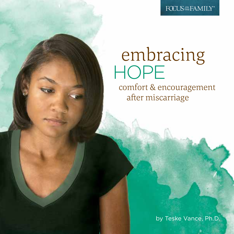FOCUS<sup>ON</sup> FAMILY<sup>®</sup>

# embracing HOPE

 comfort & encouragement after miscarriage

by Teske Vance, Ph.D.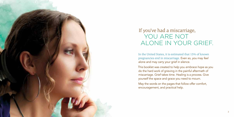

# If you've had a miscarriage, YOU ARE NOT ALONE IN YOUR GRIEF.

In the United States, it is estimated that 15% of known pregnancies end in miscarriage. Even so, you may *feel* alone and may carry your grief in silence.

This booklet was created to help you *embrace hope* as you do the hard work of grieving in the painful aftermath of miscarriage. Grief takes time. Healing is a process. Give yourself the space and grace you need to mourn.

May the words on the pages that follow offer comfort, encouragement, and practical help.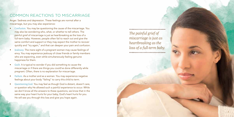#### COMMON REACTIONS TO MISCARRIAGE

Anger. Sadness and depression. These feelings are normal after a miscarriage, but you may also experience:

- Confusion. You may be questioning the cause of the miscarriage. You may also be wondering who, what, or whether to tell others. The painful grief of miscarriage is just as heartbreaking as the loss of a full-term baby. However, people often fail to reach out and give the same comfort and support or they may expect the mother to recover quickly and "try again," and that can deepen your pain and confusion.
- Jealousy. The mere sight of a pregnant woman may cause feelings of envy. You may experience jealousy of close friends or family members who are expecting, even while simultaneously feeling genuine happiness for them.
- Guilt. It is typical to wonder if you did something to cause the miscarriage or if there are things you could've done differently while pregnant. Often, there is no explanation for miscarriage.
- Failure. As a mother and as a woman. You may experience negative feelings about your body "failing" to carry this child to term.
- Questioning God. You may feel as though God is distant, doesn't care, or question why He allowed such a painful experience to occur. While we don't know all the answers to these questions, we know that in the same way your heart hurts for your baby, God's heart hurts for you. He will see you through this loss and give you hope again.

4

*The painful grief of miscarriage is just as heartbreaking as the loss of a full-term baby.*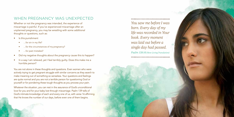#### WHEN PREGNANCY WAS UNEXPECTED

Whether or not the pregnancy was intended, the experience of miscarriage is painful. If you've experienced miscarriage after an unplanned pregnancy, you may be wrestling with some additional thoughts or questions, such as:

- Is this punishment
	- …for sin in my life?
	- ...for the circumstances of my pregnancy?
	- …for past mistakes?
- Did my negative thoughts about the pregnancy cause this to happen?
- In a way I am relieved, yet I feel terribly guilty. Does this make me a horrible person?

You are not alone in these thoughts and questions. Even women who were actively trying to get pregnant struggle with similar concerns as they search to make meaning out of something so senseless. Your questions and feelings are quite normal and you are not a terrible person for questioning God or yourself or for pondering these tough thoughts as you process your pain.

Whatever the situation, you can rest in the assurance of God's unconditional love for you and for your baby lost through miscarriage. Psalm 139 tells of God's intimate knowledge of each and every one of us, with verse 16 affirming that He knows the number of our days, before even one of them begins.

*You saw me before I was born. Every day of my life was recorded in Your book. Every moment was laid out before a single day had passed. Psalm 139:16 (New Living Translation)*

.....................................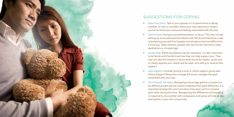

### SUGGESTIONS FOR COPING

- Share Your Story. Talk to your spouse or a trusted friend or family member or even a counselor about your loss experience. Keep a journal to record your story and feelings associated with the loss.
- Grieve Freely. And give yourself permission to do so. This may include setting up some personal boundaries with family and friends as a way of protecting yourself from people and situations that are difficult for a time (e.g., baby showers, people who tend to be insensitive, baby dedications or christenings).
- Accept Help. While boundaries may be necessary, it is also important to let family and friends know how they can help support you. They may not take the initiative or know what would be helpful, so be sure to clearly express your needs and be open and willing to receive their support.
- Seek Support. Consider joining a local or online support group (see Online Support Resources on page 22) as you navigate the grief associated with your loss.
- Turn Toward, Not Away. Navigating miscarriage grief as a couple can be difficult as each partner tends to express their grief differently. It is important to keep the communication lines open and turn toward each other during this time. Recognizing this difference and choosing to respond to one another with compassion and grace will help as you each grieve in your own unique way.

9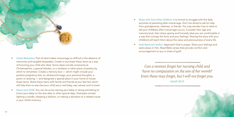

- Create Mementos. Part of what makes miscarriage so difficult is the absence of memories and tangible keepsakes. Create or purchase these items as a way of honoring your child who died. Some ideas include ornaments at Christmastime, a special blanket, or a necklace or other piece of jewelry by which to remember. Create a memory box — which might include your positive pregnancy test, an ultrasound image, your personal thoughts, a poem or drawing — and designate a special place in your home to house these items. Share these items with family and friends as you feel led, which will help them to see that your child was a real baby, was valued, and is loved.
- Honor your Child. You can do so by naming your baby or doing something to honor your baby on the due date or other special days. Examples include lighting a candle, releasing a balloon, or making a donation to a related cause in your child's memory.
- Share with Your Other Children. It is normal to struggle with the daily activities of parenting after miscarriage. Don't be afraid to ask for help from grandparents, relatives, or friends. You may wonder how or what to tell your child(ren) after miscarriage occurs. Consider their age and maturity level, then share openly and honestly what you are comfortable in a way that conveys the facts and your feelings. Sharing the story with your child(ren) will teach them about the value and preciousness of every life.
- Seek Spiritual Comfort. Approach God in prayer. Share your feelings and seek solace in Him. Read Bible verses that provide comfort and encouragement to you in times of grief.

*Can a woman forget her nursing child and have no compassion on the son of her womb? Even these may forget, but I will not forget you. Isaiah 49:15*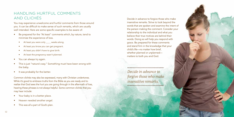### HANDLING HURTFUL COMMENTS AND CLICHÉS

You may experience unwelcome and hurtful comments from those around you. It can be difficult to make sense of such remarks, which are usually well intended. Here are some specific examples to be aware of:

- Be prepared for the "At least" comments which, by nature, tend to minimize the experience of loss.
	- At least you were only weeks along.
	- At least you know you can get pregnant.
	- At least you didn't have to give birth.
	- At least the pregnancy wasn't planned.
- You can always try again.
- This is just "nature's way." Something must have been wrong with the baby.
- It was probably for the better.

Common clichés may also be expressed, many with Christian undertones. While it's good to embrace truths from the Bible as you are ready and to realize that God sees the hurt you are going through in the aftermath of loss, hearing these phrases is not always helpful. Some common clichés that you may hear include:

- Your baby is in a better place.
- Heaven needed another angel.
- This was all a part of God's plan.

Decide in advance to forgive those who make insensitive remarks. Strive to look beyond the words that are spoken and examine the intent of the person making the comment. Consider your relationship to the individual and what you believe their true motives are behind their words. Doing so will help you respond with grace. Be prepared for these comments and stand firm in the knowledge that your child's life—no matter how brief, whether planned or unplanned matters to both you and God.

\*\*\*\*\*\*\*\*\*\*\*\*\*\*\*\*\*\*\*\*\*\*\*\*\*\*\*\*\*\*\*\*\*\*\*\*\* *Decide in advance to forgive those who make insensitive remarks.*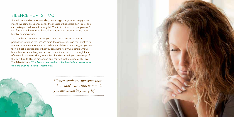#### SILENCE HURTS, TOO

Sometimes the silence surrounding miscarriage stings more deeply than insensitive remarks. Silence sends the message that others don't care, and can make you feel alone in your grief. The truth is that most people aren't comfortable with the topic themselves and/or don't want to cause more hurt by bringing it up.

You may be in a situation where you haven't told anyone about the pregnancy, let alone the loss. As difficult as it may be, take the initiative to talk with someone about your experience and the current struggles you are facing. Seek out support so that you can share freely with others who've been through something similar. Even when it may seem as though the rest of the world has moved on, remember that God is with you every step of the way. Turn to Him in prayer and find comfort in the refuge of His love. The Bible tells us, *"The Lord is near to the brokenhearted and saves those who are crushed in spirit." Psalm 34:18.*



*Silence sends the message that others don't care, and can make you feel alone in your grief.*

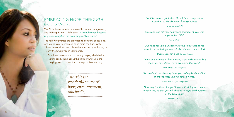### EMBRACING HOPE THROUGH GOD'S WORD

The Bible is a wonderful source of hope, encouragement, and healing. Psalm 119:28 says, *"My soul weeps because of grief; strengthen me according to Your word."*

The following verses are provided to comfort, encourage, and guide you to embrace hope amid the hurt. Write these verses down and place them around your home, or carry them with you in your purse.

Say these verses aloud or during prayer, which helps you to really think about the truth of what you are saying, and to know that these promises are for you.

> .................................... *The Bible is a wonderful source of hope, encouragement, and healing.*

.....................................

*For if He causes grief, then He will have compassion, according to His abundant lovingkindness.*

Lamentations 3:32

*Be strong and let your heart take courage, all you who hope in the LORD.*

Psalm 31:24

*Our hope for you is unshaken, for we know that as you share in our sufferings, you will also share in our comfort.*

2 Corinthians 1:7 (English Standard Version)

*"Here on earth you will have many trials and sorrows; but cheer up, for I (Jesus) have overcome the world."*

John 16:33 (The Living Bible)

*You made all the delicate, inner parts of my body and knit them together in my mother's womb.*

Psalm 139:13 (The Living Bible)

Now may the God of hope fill you with all joy and peace *in believing, so that you will abound in hope by the power of the Holy Spirit.*

Romans 15:13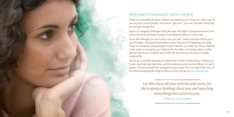

### MOVING FORWARD WITH HOPE

There is no timetable for grief. Others may expect you to "move on" when truly all you can do is move forward. You'll never "get over" your loss, but with God's help you will get through this.

Expect to navigate challenges along the way—the sight of pregnant women, birth announcements and baby showers, and milestone dates to name a few.

Know that although you are hurting now, you aren't alone and there will be joy in your life again. Moving forward doesn't mean that you are forgetting your baby. There will always be a special place in your heart for your little one. As you feel led, make a plan to recognize your baby on the due date, anniversary date, or other special days as you integrate your child's life and memory into your everyday, ongoing life.

Above all, remember that just as it takes time to heal a broken bone, healing your broken heart will also take time, and the healing process can be different for each person. So give yourself time and grace as you move from one day to the next, all the while embracing the hope of Jesus on your journey, for He cares for you.

> *Let Him have all your worries and cares, for He is always thinking about you and watching everything that concerns you.*

*1 Peter 5:7 (The Living Bible)*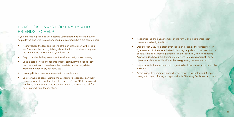### PRACTICAL WAYS FOR FAMILY AND FRIENDS TO HELP

If you are reading this booklet because you want to understand how to help a loved one who has experienced a miscarriage, here are some ideas:

- Acknowledge the loss and the life of the child that grew within. You won't worsen the pain by talking about the loss, but silence may send the unintended message that you don't care.
- Pray for and with the parents; let them know that you are praying.
- Send a card or note of encouragement, particularly on special days (such as what would have been the due date, anniversary dates, Mother's/Father's Day, holidays, etc.).
- Give a gift, keepsake, or memento in remembrance.
- Look for ways to serve. Bring a meal, shop for groceries, clean their house, or offer to care for older children. Don't say, "Call if you need anything," because this places the burden on the couple to ask for help. Instead, take the initiative.
- Recognize the child as a member of the family and incorporate their memory into family traditions.
- Don't forget Dad. He's often overlooked and seen as the "protector" or "gatekeeper" to the mom. Instead of asking only about mom, ask how the couple is doing or make a point to ask Dad specifically how he is doing. Acknowledge how difficult it must be for him to maintain strength as he protects and cares for his wife, while also grieving the loss himself.
- Be sensitive to their feelings with regard to birth announcements and baby showers.
- Avoid insensitive comments and clichés, however well intended. Simply being with them, offering a hug or a simple *"I'm sorry"* will mean so much.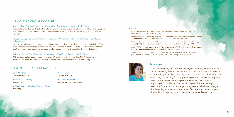#### RECOMMENDED RESOURCES

#### *And Then You Were Gone: Restoring a Broken Heart After Pregnancy Loss*, by Becky Avella

A spiritual and practical guide to healing after pregnancy loss, pointing grieving hearts to real hope and equipping family, friends, churches, counselors, and others with understanding and tools for ministering to hurting families after loss.

*Hope for Today, Promises for Tomorrow: Finding Light Beyond the Shadow of Miscarriage or Infant Loss*, by Teske Drake

A ten-week study that will encourage and challenge women to delve into a deeper understanding of God's Word in the aftermath of miscarriage or infant loss. As women engage in biblical teaching, they will learn to embrace God's promises of love, goodness, purpose, comfort, peace, refinement, restoration, hope, and eternity.

*Safe in the Arms of God: Truth from Heaven about the Death of a Child*, by John MacArthur

With scriptural authority and the warmth of a pastor's heart, bestselling author John MacArthur examines the breadth of the entire Bible and reveals the Heavenly Father's care for every life in this compelling book.

#### ONLINE SUPPORT RESOURCES

*Caleb Ministries* calebministries.org

*Hannah's Prayer Ministry* hannah.org

*M.E.N.D. Mommies Enduring Neonatal Death* mend.org

*Naomi's Circle* naomiscircle.org

Sufficient Grace Ministries sufficientgraceministries.com

#### Sources

- · American Congress of Obstetricians and Gynecologists (ACOG). Early Pregnancy Loss: FAQ090. ©August 2013. www.acog.org.
- · Norman Brier, "Grief following miscarriage: A comprehensive review of the literature." *Journal of Women's Health*. April 2008, 17(3): 451-464. doi:10.1089/jwh.2007.0505.
- · Drake, T. "'The God of all comfort:' Experiences from a biblically based perinatal loss support group" (2010). Graduate Theses and Dissertations, Iowa State University. Paper 11413.
- · Drake, T. (2012). *Hope for today, promises for tomorrow: Finding light beyond the shadow of miscarriage or infant loss*. Grand Rapids, MI: Kregel Publications.
- · Toffol, E., Koponen, P., and Partonen, T. "Miscarriage and mental health: Results of two population-based studies." Psychiatry Research. 2013 January; (205)1-2:151-158.



#### Author Note

Teske Vance (Ph.D., Iowa State University) is a mommy with hope to four babies in heaven, mom to two children on earth, and army wife to Luke. Prompted by personal experience, Teske has spent more than a decade researching, advocating for, and providing support to those who grieve. Teske currently serves as a Hospice Bereavement Coordinator, supporting individuals and families of all ages. She is especially passionate for the unborn and supporting women who have struggled with the ambiguous loss of one so small. Teske resides in central Iowa with her family. You may contact her at teske.vance@gmail.com.